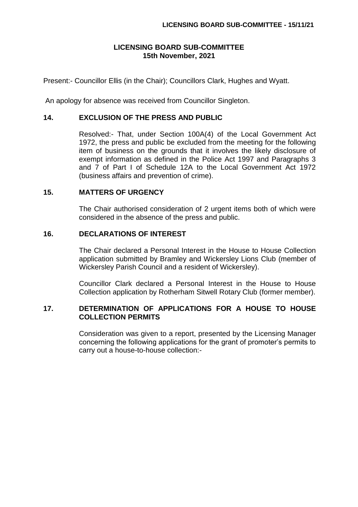### **LICENSING BOARD SUB-COMMITTEE 15th November, 2021**

Present:- Councillor Ellis (in the Chair); Councillors Clark, Hughes and Wyatt.

An apology for absence was received from Councillor Singleton.

#### **14. EXCLUSION OF THE PRESS AND PUBLIC**

Resolved:- That, under Section 100A(4) of the Local Government Act 1972, the press and public be excluded from the meeting for the following item of business on the grounds that it involves the likely disclosure of exempt information as defined in the Police Act 1997 and Paragraphs 3 and 7 of Part I of Schedule 12A to the Local Government Act 1972 (business affairs and prevention of crime).

#### **15. MATTERS OF URGENCY**

The Chair authorised consideration of 2 urgent items both of which were considered in the absence of the press and public.

# **16. DECLARATIONS OF INTEREST**

The Chair declared a Personal Interest in the House to House Collection application submitted by Bramley and Wickersley Lions Club (member of Wickersley Parish Council and a resident of Wickersley).

Councillor Clark declared a Personal Interest in the House to House Collection application by Rotherham Sitwell Rotary Club (former member).

# **17. DETERMINATION OF APPLICATIONS FOR A HOUSE TO HOUSE COLLECTION PERMITS**

Consideration was given to a report, presented by the Licensing Manager concerning the following applications for the grant of promoter's permits to carry out a house-to-house collection:-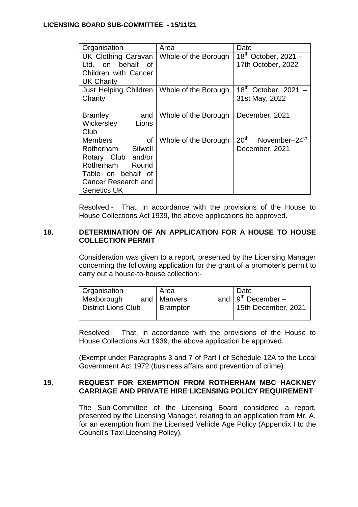| Organisation                                                | Area                 | Date                                                |
|-------------------------------------------------------------|----------------------|-----------------------------------------------------|
| <b>UK Clothing Caravan</b><br>behalf<br>on<br>l td. I<br>റf | Whole of the Borough | $18th$ October, 2021 –<br>17th October, 2022        |
| Children with Cancer<br><b>UK Charity</b>                   |                      |                                                     |
| Just Helping Children<br>Charity                            | Whole of the Borough | 18 <sup>th</sup><br>October, 2021<br>31st May, 2022 |
|                                                             |                      |                                                     |
| <b>Bramley</b><br>and                                       | Whole of the Borough | December, 2021                                      |
| Wickersley<br>Lions<br>Club                                 |                      |                                                     |
| Members<br>οf                                               | Whole of the Borough | 20 <sup>th</sup><br>November-24 <sup>th</sup>       |
| Sitwell<br>Rotherham                                        |                      | December, 2021                                      |
| Rotary Club and/or                                          |                      |                                                     |
| Rotherham<br>Round                                          |                      |                                                     |
| Table on behalf of                                          |                      |                                                     |
| Cancer Research and                                         |                      |                                                     |
| <b>Genetics UK</b>                                          |                      |                                                     |

Resolved:- That, in accordance with the provisions of the House to House Collections Act 1939, the above applications be approved.

## **18. DETERMINATION OF AN APPLICATION FOR A HOUSE TO HOUSE COLLECTION PERMIT**

Consideration was given to a report, presented by the Licensing Manager concerning the following application for the grant of a promoter's permit to carry out a house-to-house collection:-

| <b>Organisation</b>        | Area            | Date                    |
|----------------------------|-----------------|-------------------------|
| Mexborough                 | and   Manvers   | and $9^{th}$ December – |
| <b>District Lions Club</b> | <b>Brampton</b> | 15th December, 2021     |

Resolved:- That, in accordance with the provisions of the House to House Collections Act 1939, the above application be approved.

(Exempt under Paragraphs 3 and 7 of Part I of Schedule 12A to the Local Government Act 1972 (business affairs and prevention of crime)

# **19. REQUEST FOR EXEMPTION FROM ROTHERHAM MBC HACKNEY CARRIAGE AND PRIVATE HIRE LICENSING POLICY REQUIREMENT**

The Sub-Committee of the Licensing Board considered a report, presented by the Licensing Manager, relating to an application from Mr. A. for an exemption from the Licensed Vehicle Age Policy (Appendix I to the Council's Taxi Licensing Policy).